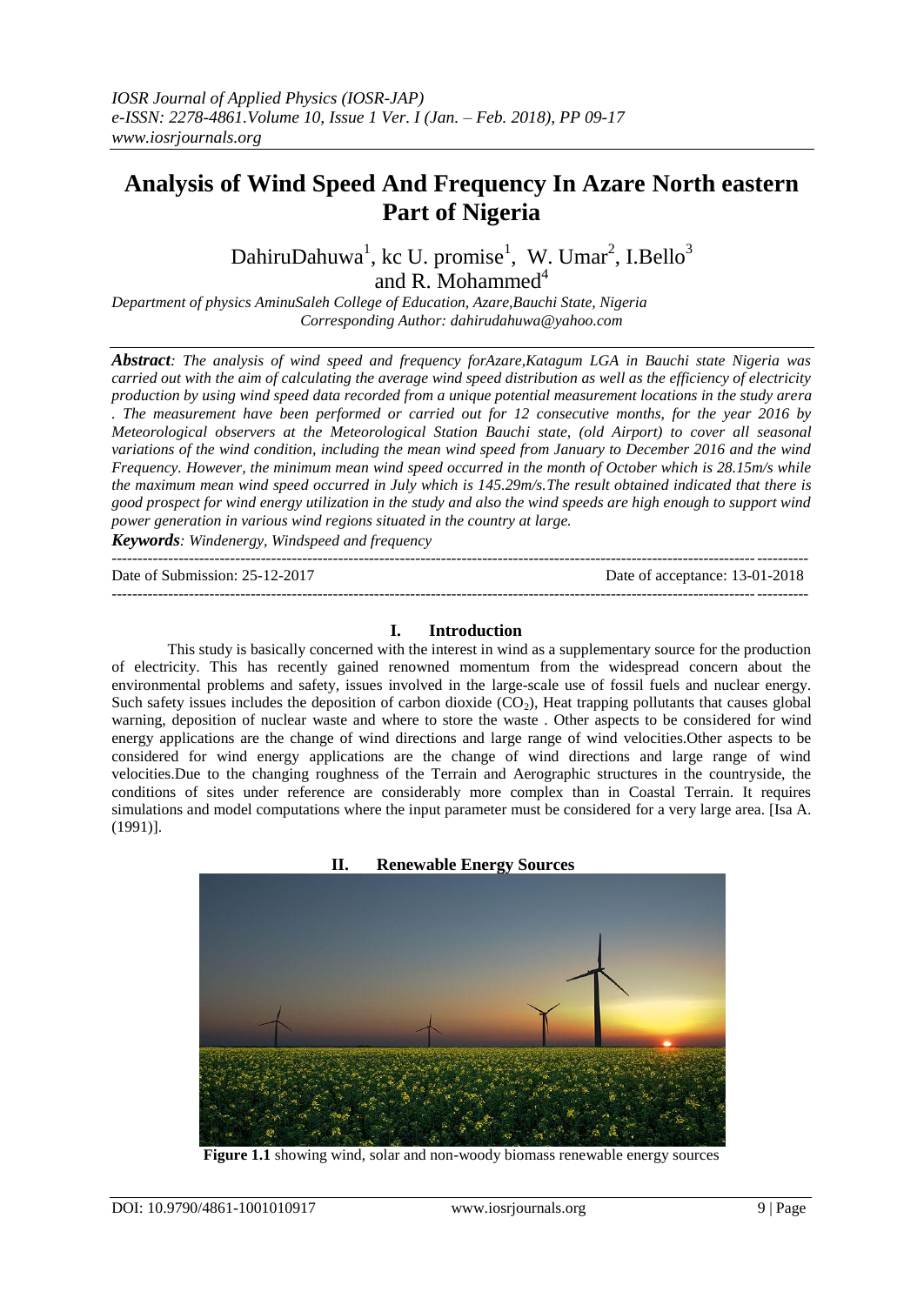# **Analysis of Wind Speed And Frequency In Azare North eastern Part of Nigeria**

DahiruDahuwa<sup>1</sup>, kc U. promise<sup>1</sup>, W. Umar<sup>2</sup>, I.Bello<sup>3</sup> and R. Mohammed<sup>4</sup>

*Department of physics AminuSaleh College of Education, Azare,Bauchi State, Nigeria Corresponding Author: dahirudahuwa@yahoo.com*

*Abstract: The analysis of wind speed and frequency forAzare,Katagum LGA in Bauchi state Nigeria was carried out with the aim of calculating the average wind speed distribution as well as the efficiency of electricity production by using wind speed data recorded from a unique potential measurement locations in the study arera . The measurement have been performed or carried out for 12 consecutive months, for the year 2016 by Meteorological observers at the Meteorological Station Bauchi state, (old Airport) to cover all seasonal variations of the wind condition, including the mean wind speed from January to December 2016 and the wind Frequency. However, the minimum mean wind speed occurred in the month of October which is 28.15m/s while the maximum mean wind speed occurred in July which is 145.29m/s.The result obtained indicated that there is good prospect for wind energy utilization in the study and also the wind speeds are high enough to support wind power generation in various wind regions situated in the country at large.*

*Keywords: Windenergy, Windspeed and frequency*

Date of Submission: 25-12-2017 Date of acceptance: 13-01-2018

#### **I. Introduction**

---------------------------------------------------------------------------------------------------------------------------------------

---------------------------------------------------------------------------------------------------------------------------------------

This study is basically concerned with the interest in wind as a supplementary source for the production of electricity. This has recently gained renowned momentum from the widespread concern about the environmental problems and safety, issues involved in the large-scale use of fossil fuels and nuclear energy. Such safety issues includes the deposition of carbon dioxide  $(CO<sub>2</sub>)$ , Heat trapping pollutants that causes global warning, deposition of nuclear waste and where to store the waste . Other aspects to be considered for wind energy applications are the change of wind directions and large range of wind velocities.Other aspects to be considered for wind energy applications are the change of wind directions and large range of wind velocities.Due to the changing roughness of the Terrain and Aerographic structures in the countryside, the conditions of sites under reference are considerably more complex than in Coastal Terrain. It requires simulations and model computations where the input parameter must be considered for a very large area. [Isa A. (1991)].

**II. Renewable Energy Sources**

**Figure 1.1** showing wind, solar and non-woody biomass renewable energy sources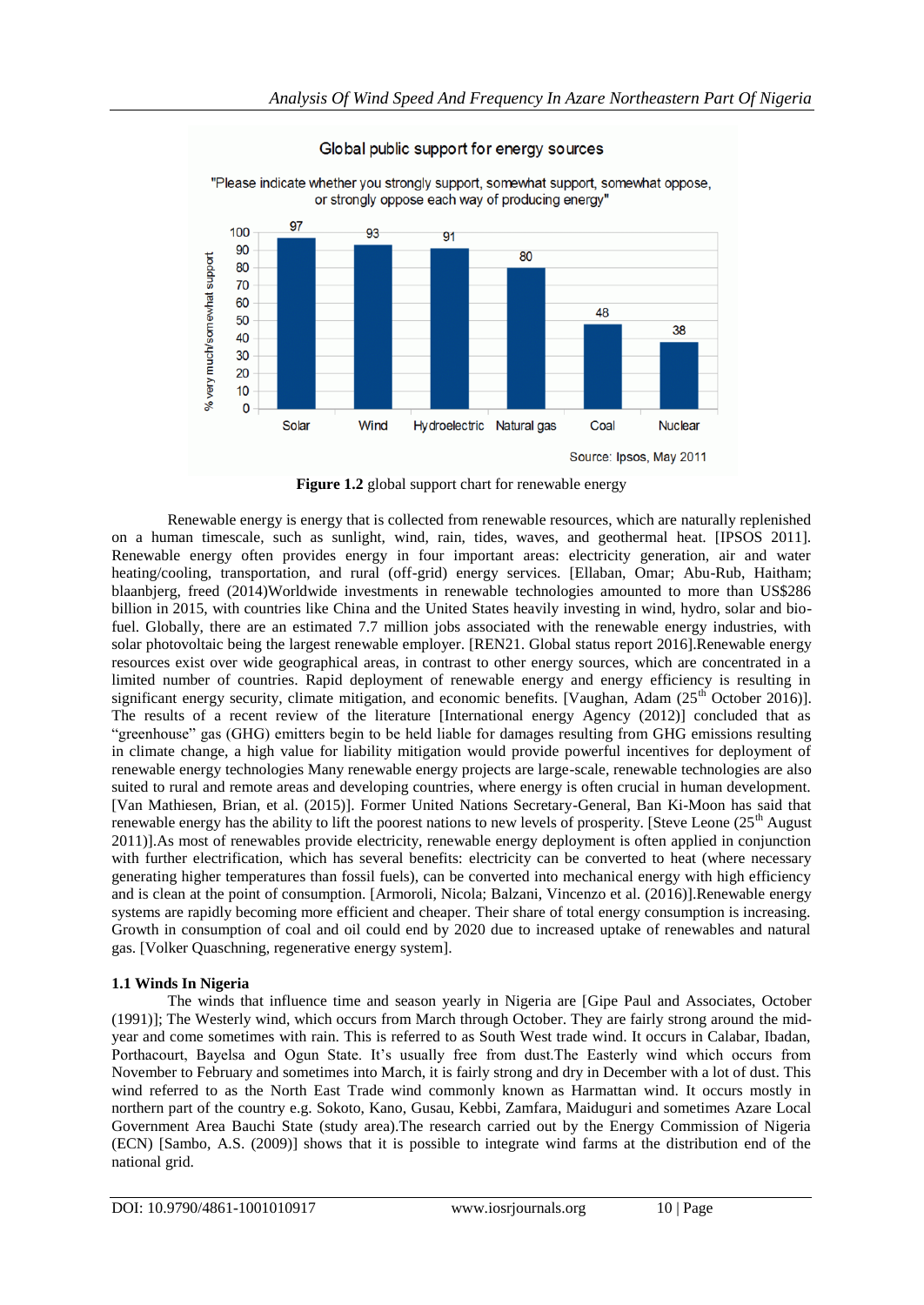

Global public support for energy sources

Source: Ipsos, May 2011

**Figure 1.2** global support chart for renewable energy

Renewable energy is energy that is collected from renewable resources, which are naturally replenished on a human timescale, such as sunlight, wind, rain, tides, waves, and geothermal heat. [IPSOS 2011]. Renewable energy often provides energy in four important areas: electricity generation, air and water heating/cooling, transportation, and rural (off-grid) energy services. [Ellaban, Omar; Abu-Rub, Haitham; blaanbjerg, freed (2014)Worldwide investments in renewable technologies amounted to more than US\$286 billion in 2015, with countries like China and the United States heavily investing in wind, hydro, solar and biofuel. Globally, there are an estimated 7.7 million jobs associated with the renewable energy industries, with solar photovoltaic being the largest renewable employer. [REN21. Global status report 2016].Renewable energy resources exist over wide geographical areas, in contrast to other energy sources, which are concentrated in a limited number of countries. Rapid deployment of renewable energy and energy efficiency is resulting in significant energy security, climate mitigation, and economic benefits. [Vaughan, Adam  $(25<sup>th</sup>$  October 2016)]. The results of a recent review of the literature [International energy Agency (2012)] concluded that as "greenhouse" gas (GHG) emitters begin to be held liable for damages resulting from GHG emissions resulting in climate change, a high value for liability mitigation would provide powerful incentives for deployment of renewable energy technologies Many renewable energy projects are large-scale, renewable technologies are also suited to rural and remote areas and developing countries, where energy is often crucial in human development. [Van Mathiesen, Brian, et al. (2015)]. Former United Nations Secretary-General, Ban Ki-Moon has said that renewable energy has the ability to lift the poorest nations to new levels of prosperity. [Steve Leone  $(25<sup>th</sup>$  August 2011)].As most of renewables provide electricity, renewable energy deployment is often applied in conjunction with further electrification, which has several benefits: electricity can be converted to heat (where necessary generating higher temperatures than fossil fuels), can be converted into mechanical energy with high efficiency and is clean at the point of consumption. [Armoroli, Nicola; Balzani, Vincenzo et al. (2016)].Renewable energy systems are rapidly becoming more efficient and cheaper. Their share of total energy consumption is increasing. Growth in consumption of coal and oil could end by 2020 due to increased uptake of renewables and natural gas. [Volker Quaschning, regenerative energy system].

# **1.1 Winds In Nigeria**

The winds that influence time and season yearly in Nigeria are [Gipe Paul and Associates, October (1991)]; The Westerly wind, which occurs from March through October. They are fairly strong around the midyear and come sometimes with rain. This is referred to as South West trade wind. It occurs in Calabar, Ibadan, Porthacourt, Bayelsa and Ogun State. It's usually free from dust. The Easterly wind which occurs from November to February and sometimes into March, it is fairly strong and dry in December with a lot of dust. This wind referred to as the North East Trade wind commonly known as Harmattan wind. It occurs mostly in northern part of the country e.g. Sokoto, Kano, Gusau, Kebbi, Zamfara, Maiduguri and sometimes Azare Local Government Area Bauchi State (study area).The research carried out by the Energy Commission of Nigeria (ECN) [Sambo, A.S. (2009)] shows that it is possible to integrate wind farms at the distribution end of the national grid.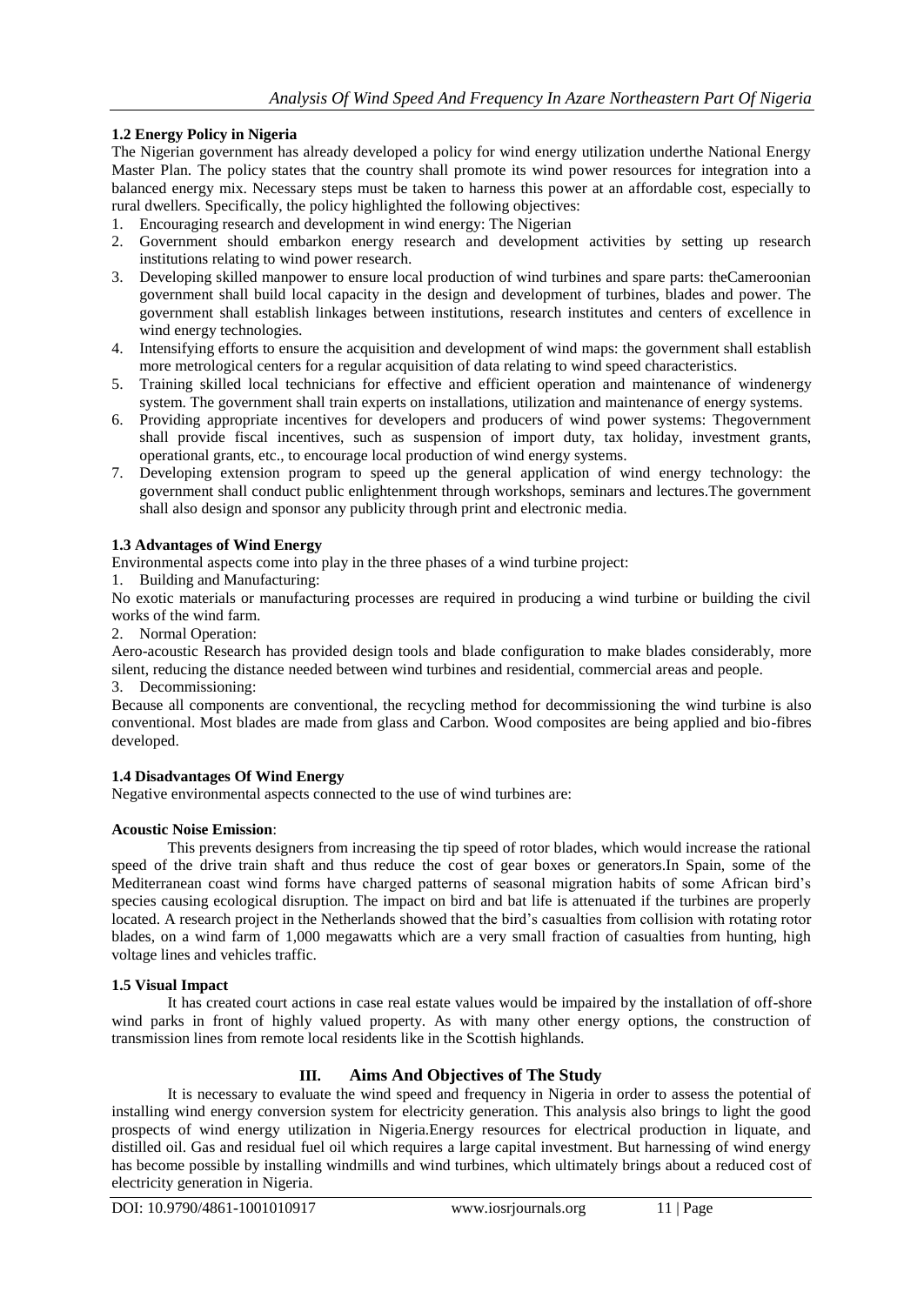# **1.2 Energy Policy in Nigeria**

The Nigerian government has already developed a policy for wind energy utilization underthe National Energy Master Plan. The policy states that the country shall promote its wind power resources for integration into a balanced energy mix. Necessary steps must be taken to harness this power at an affordable cost, especially to rural dwellers. Specifically, the policy highlighted the following objectives:

- 1. Encouraging research and development in wind energy: The Nigerian
- 2. Government should embarkon energy research and development activities by setting up research institutions relating to wind power research.
- 3. Developing skilled manpower to ensure local production of wind turbines and spare parts: theCameroonian government shall build local capacity in the design and development of turbines, blades and power. The government shall establish linkages between institutions, research institutes and centers of excellence in wind energy technologies.
- 4. Intensifying efforts to ensure the acquisition and development of wind maps: the government shall establish more metrological centers for a regular acquisition of data relating to wind speed characteristics.
- 5. Training skilled local technicians for effective and efficient operation and maintenance of windenergy system. The government shall train experts on installations, utilization and maintenance of energy systems.
- 6. Providing appropriate incentives for developers and producers of wind power systems: Thegovernment shall provide fiscal incentives, such as suspension of import duty, tax holiday, investment grants, operational grants, etc., to encourage local production of wind energy systems.
- 7. Developing extension program to speed up the general application of wind energy technology: the government shall conduct public enlightenment through workshops, seminars and lectures.The government shall also design and sponsor any publicity through print and electronic media.

# **1.3 Advantages of Wind Energy**

Environmental aspects come into play in the three phases of a wind turbine project:

1. Building and Manufacturing:

No exotic materials or manufacturing processes are required in producing a wind turbine or building the civil works of the wind farm.

2. Normal Operation:

Aero-acoustic Research has provided design tools and blade configuration to make blades considerably, more silent, reducing the distance needed between wind turbines and residential, commercial areas and people.

3. Decommissioning:

Because all components are conventional, the recycling method for decommissioning the wind turbine is also conventional. Most blades are made from glass and Carbon. Wood composites are being applied and bio-fibres developed.

# **1.4 Disadvantages Of Wind Energy**

Negative environmental aspects connected to the use of wind turbines are:

# **Acoustic Noise Emission**:

This prevents designers from increasing the tip speed of rotor blades, which would increase the rational speed of the drive train shaft and thus reduce the cost of gear boxes or generators.In Spain, some of the Mediterranean coast wind forms have charged patterns of seasonal migration habits of some African bird"s species causing ecological disruption. The impact on bird and bat life is attenuated if the turbines are properly located. A research project in the Netherlands showed that the bird's casualties from collision with rotating rotor blades, on a wind farm of 1,000 megawatts which are a very small fraction of casualties from hunting, high voltage lines and vehicles traffic.

#### **1.5 Visual Impact**

It has created court actions in case real estate values would be impaired by the installation of off-shore wind parks in front of highly valued property. As with many other energy options, the construction of transmission lines from remote local residents like in the Scottish highlands.

# **III. Aims And Objectives of The Study**

It is necessary to evaluate the wind speed and frequency in Nigeria in order to assess the potential of installing wind energy conversion system for electricity generation. This analysis also brings to light the good prospects of wind energy utilization in Nigeria.Energy resources for electrical production in liquate, and distilled oil. Gas and residual fuel oil which requires a large capital investment. But harnessing of wind energy has become possible by installing windmills and wind turbines, which ultimately brings about a reduced cost of electricity generation in Nigeria.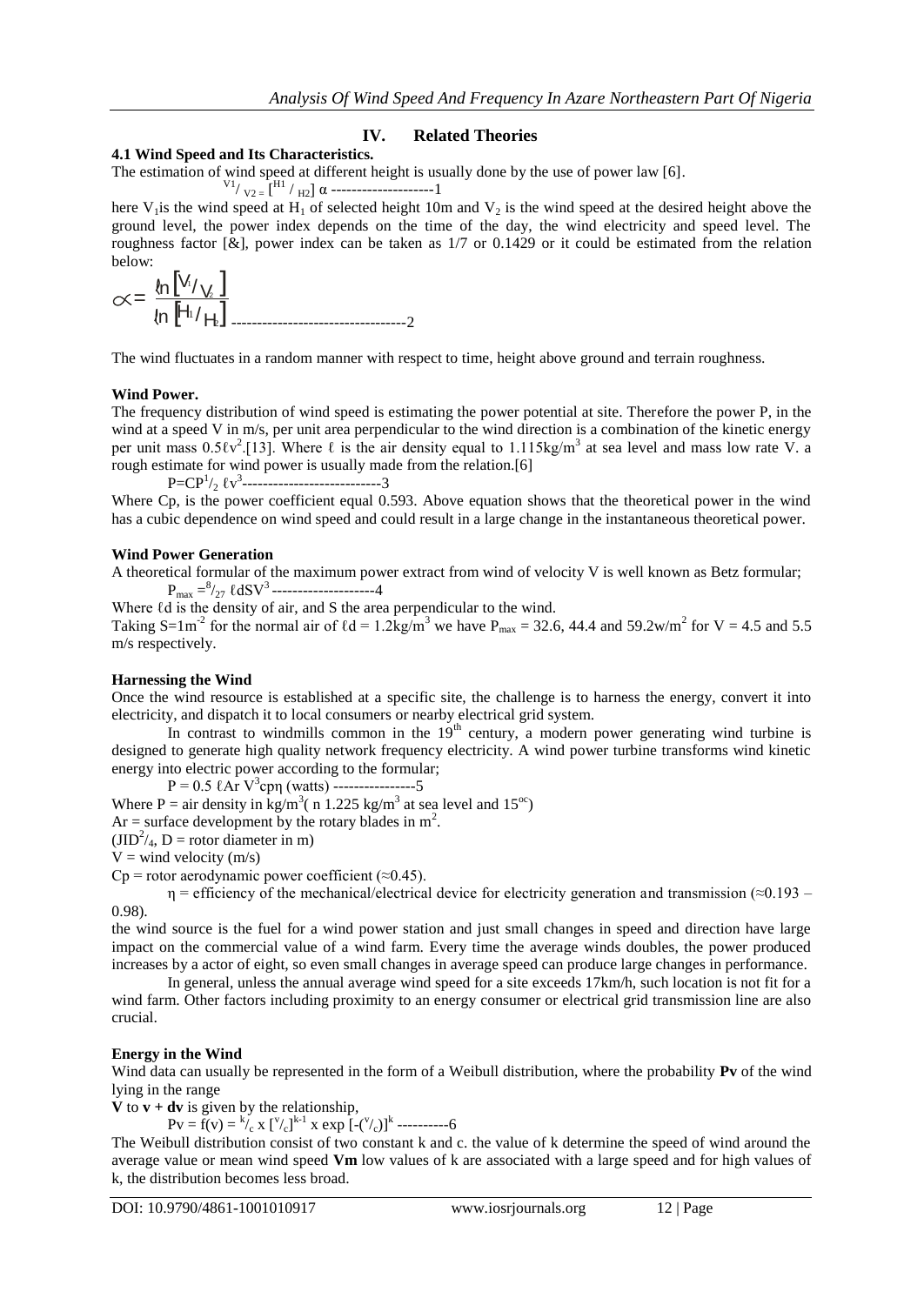# **IV. Related Theories**

#### **4.1 Wind Speed and Its Characteristics.**

The estimation of wind speed at different height is usually done by the use of power law [6].

V1/ V2 = [ H1 / H2] α --------------------1

here V<sub>1</sub> is the wind speed at H<sub>1</sub> of selected height 10m and V<sub>2</sub> is the wind speed at the desired height above the ground level, the power index depends on the time of the day, the wind electricity and speed level. The roughness factor  $[\&]$ , power index can be taken as  $1/7$  or 0.1429 or it could be estimated from the relation below:

$$
\propto = \frac{\ln \left[ V_{1/2} \right]}{\ln \left[ H_{1/2} \right] \dots}
$$

The wind fluctuates in a random manner with respect to time, height above ground and terrain roughness.

#### **Wind Power.**

The frequency distribution of wind speed is estimating the power potential at site. Therefore the power P, in the wind at a speed V in m/s, per unit area perpendicular to the wind direction is a combination of the kinetic energy per unit mass  $0.5\ell v^2$ .[13]. Where  $\ell$  is the air density equal to 1.115kg/m<sup>3</sup> at sea level and mass low rate V. a rough estimate for wind power is usually made from the relation.[6]

 $P=CP<sup>1</sup>/<sub>2</sub> \ell v<sup>3</sup>$ -----------------------------3

Where Cp, is the power coefficient equal 0.593. Above equation shows that the theoretical power in the wind has a cubic dependence on wind speed and could result in a large change in the instantaneous theoretical power.

### **Wind Power Generation**

A theoretical formular of the maximum power extract from wind of velocity V is well known as Betz formular;  $P_{\text{max}} = \frac{8}{27}$   $\ell$ dSV<sup>3</sup> ---------------------4

Where  $\ell d$  is the density of air, and S the area perpendicular to the wind.

Taking S=1m<sup>-2</sup> for the normal air of  $\ell d = 1.2 \text{kg/m}^3$  we have P<sub>max</sub> = 32.6, 44.4 and 59.2w/m<sup>2</sup> for V = 4.5 and 5.5 m/s respectively.

#### **Harnessing the Wind**

Once the wind resource is established at a specific site, the challenge is to harness the energy, convert it into electricity, and dispatch it to local consumers or nearby electrical grid system.

In contrast to windmills common in the  $19<sup>th</sup>$  century, a modern power generating wind turbine is designed to generate high quality network frequency electricity. A wind power turbine transforms wind kinetic energy into electric power according to the formular;

 $P = 0.5$   $\ell$ Ar  $V^3$ cpη (watts) ----------------5

Where P = air density in kg/m<sup>3</sup> (n 1.225 kg/m<sup>3</sup> at sea level and 15<sup>oc</sup>)

Ar = surface development by the rotary blades in  $m^2$ .

 $(JID<sup>2</sup>/<sub>4</sub>, D = rotor diameter in m)$ 

 $V =$  wind velocity (m/s)

 $Cp$  = rotor aerodynamic power coefficient (≈0.45).

 $\eta$  = efficiency of the mechanical/electrical device for electricity generation and transmission ( $\approx$ 0.193 – 0.98).

the wind source is the fuel for a wind power station and just small changes in speed and direction have large impact on the commercial value of a wind farm. Every time the average winds doubles, the power produced increases by a actor of eight, so even small changes in average speed can produce large changes in performance.

In general, unless the annual average wind speed for a site exceeds 17km/h, such location is not fit for a wind farm. Other factors including proximity to an energy consumer or electrical grid transmission line are also crucial.

#### **Energy in the Wind**

Wind data can usually be represented in the form of a Weibull distribution, where the probability **Pv** of the wind lying in the range

**V** to  $\mathbf{v} + \mathbf{dv}$  is given by the relationship,

 $Pv = f(v) = {k \choose c} x [v]_c^{k-1} x \exp [-(v]_c)]^k$ ----------6

The Weibull distribution consist of two constant k and c. the value of k determine the speed of wind around the average value or mean wind speed **Vm** low values of k are associated with a large speed and for high values of k, the distribution becomes less broad.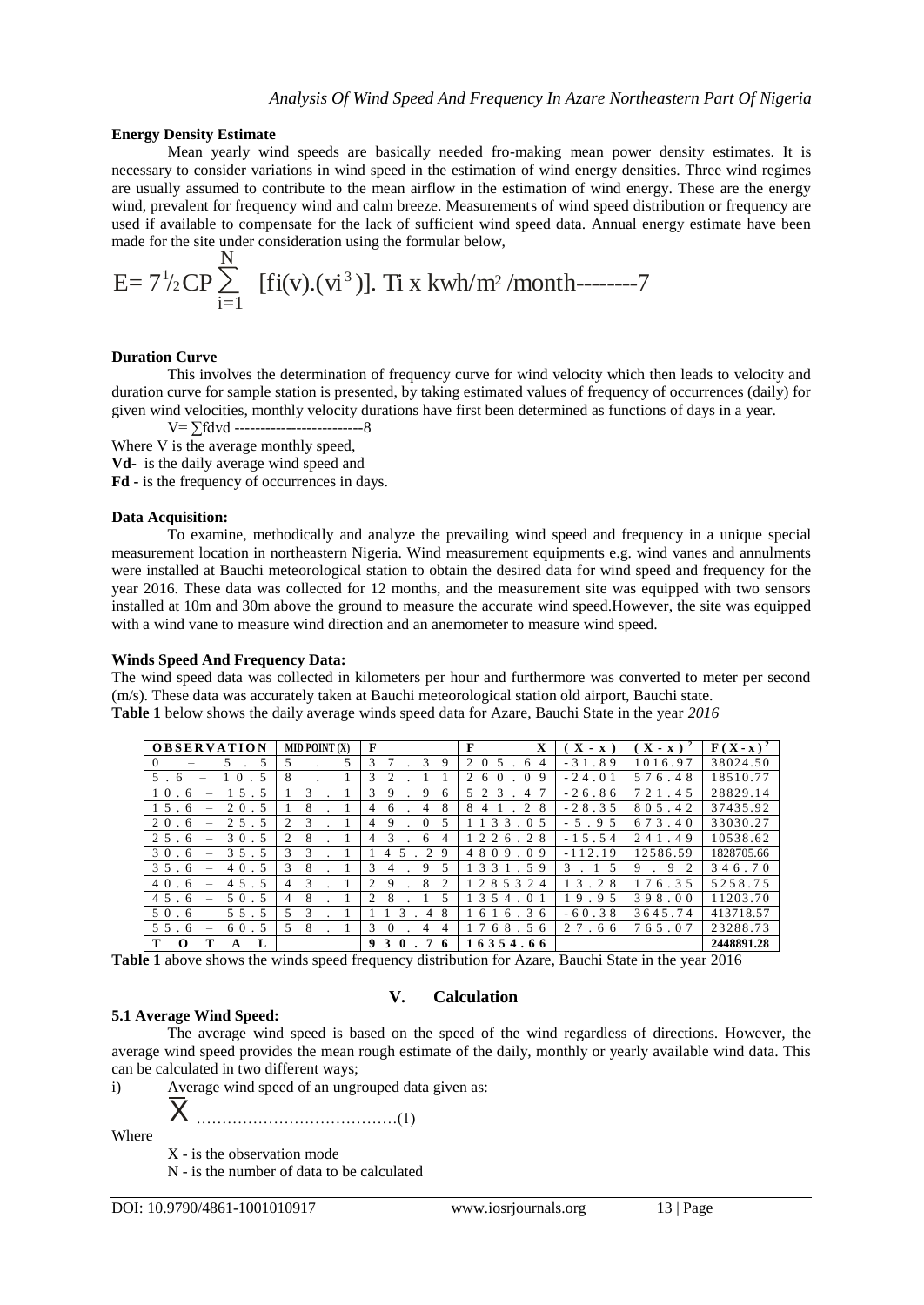#### **Energy Density Estimate**

Mean yearly wind speeds are basically needed fro-making mean power density estimates. It is necessary to consider variations in wind speed in the estimation of wind energy densities. Three wind regimes are usually assumed to contribute to the mean airflow in the estimation of wind energy. These are the energy wind, prevalent for frequency wind and calm breeze. Measurements of wind speed distribution or frequency are used if available to compensate for the lack of sufficient wind speed data. Annual energy estimate have been made for the site under consideration using the formular below,

E= 
$$
7^{1/2}
$$
CP  $\sum_{i=1}^{N}$  [fi(v).(vi<sup>3</sup>)]. Ti x kwh/m<sup>2</sup>/month-----7

#### **Duration Curve**

This involves the determination of frequency curve for wind velocity which then leads to velocity and duration curve for sample station is presented, by taking estimated values of frequency of occurrences (daily) for given wind velocities, monthly velocity durations have first been determined as functions of days in a year.

V= ∑fdvd -------------------------8

Where V is the average monthly speed,

**Vd-** is the daily average wind speed and

**Fd -** is the frequency of occurrences in days.

#### **Data Acquisition:**

To examine, methodically and analyze the prevailing wind speed and frequency in a unique special measurement location in northeastern Nigeria. Wind measurement equipments e.g. wind vanes and annulments were installed at Bauchi meteorological station to obtain the desired data for wind speed and frequency for the year 2016. These data was collected for 12 months, and the measurement site was equipped with two sensors installed at 10m and 30m above the ground to measure the accurate wind speed.However, the site was equipped with a wind vane to measure wind direction and an anemometer to measure wind speed.

#### **Winds Speed And Frequency Data:**

The wind speed data was collected in kilometers per hour and furthermore was converted to meter per second (m/s). These data was accurately taken at Bauchi meteorological station old airport, Bauchi state. **Table 1** below shows the daily average winds speed data for Azare, Bauchi State in the year *2016*

| <b>OBSERVATION</b>               | MID POINT (X)                   | F                                                      | F<br>X                                                        | $X - x$ ) | $\mathbf{X} - \mathbf{x}$ ) <sup>2</sup> | $\mathbf{F}(\mathbf{X}-\mathbf{x})^2$ |
|----------------------------------|---------------------------------|--------------------------------------------------------|---------------------------------------------------------------|-----------|------------------------------------------|---------------------------------------|
| $\Omega$<br>5<br>5.              | 5.<br>5                         | 3<br>3<br>9                                            | 2<br>$\Omega$<br>6<br>4                                       | $-31.89$  | 1016.97                                  | 38024.50                              |
| $5$ .<br>- 6                     | 8                               | 3<br>$\mathfrak{D}$                                    | $\mathcal{D}_{\mathcal{L}}$<br>$\Omega$<br>9<br>6<br>$\Omega$ | $-24.01$  | 576.48                                   | 18510.77                              |
| 10<br>5<br>6                     | 3                               | 3<br>9<br>9<br>6                                       | 5 2<br>$\mathcal{R}$<br>4                                     | $-26.86$  | 721.45                                   | 28829.14                              |
| 20.5<br>15.<br>-6                | 8                               | 8<br>$\overline{4}$<br>4<br>6                          | 8<br>2<br>8<br>$\overline{4}$                                 | $-28.35$  | 805.42                                   | 37435.92                              |
| $2\overline{5}$ . 5<br>20.<br>-6 | 2<br>3                          | 9<br>$\Omega$<br>5<br>4                                | 133.05                                                        | $-5.95$   | 673.40                                   | 33030.27                              |
| $2.5$ .<br>30.5<br>-6            | $\mathfrak{D}$<br>8             | $\mathcal{R}$<br>6<br>4<br>4                           | 226.28                                                        | $-15.54$  | 241.49                                   | 10538.62                              |
| 30.<br>35.5<br>-6                | 3<br>3                          | 2<br>-9<br>.5<br>$\overline{4}$                        | 4809.09                                                       | $-112.19$ | 12586.59                                 | 1828705.66                            |
| 40.5<br>$3\overline{5}$ .<br>-6  | 3<br>8                          | 3<br>9<br>5<br>$\overline{4}$                          | 3 3 1 . 5 9                                                   | 3<br>-5   | 9<br>2<br>9                              | 346.70                                |
| 45.5<br>40.<br>6                 | $\mathcal{R}$<br>$\overline{4}$ | $\mathcal{L}$<br>8<br>$\mathcal{D}_{\mathcal{L}}$<br>9 | 285324                                                        | 13.28     | 176.35                                   | 5258.75                               |
| 50.5<br>45.<br>-6<br>-           | 8<br>4                          | $\mathcal{D}_{\mathcal{L}}$<br>8<br>5                  | 1 3 5 4<br>. 01                                               | 19.95     | 398.00                                   | 11203.70                              |
| 50.<br>55.5<br>-6                | 5.<br>3                         | 8<br>4                                                 | 6 1 6 . 3 6                                                   | $-60.38$  | 3645.74                                  | 413718.57                             |
| 55.<br>60.5<br>-6                | 5<br>8                          | $\mathcal{R}$<br>$\Omega$<br>4<br>4                    | 68.56                                                         | 27.66     | 765.07                                   | 23288.73                              |
| T<br>т<br>L<br>$\Omega$<br>A     |                                 | 9 <sub>3</sub><br>$\mathbf{0}$<br>7<br>-6              | 16354.66                                                      |           |                                          | 2448891.28                            |

**Table 1** above shows the winds speed frequency distribution for Azare, Bauchi State in the year 2016

# **5.1 Average Wind Speed:**

 $\overline{\mathsf{X}}$ 

# **V. Calculation**

The average wind speed is based on the speed of the wind regardless of directions. However, the average wind speed provides the mean rough estimate of the daily, monthly or yearly available wind data. This can be calculated in two different ways;

i) Average wind speed of an ungrouped data given as:

Where

…………………………………(1)

X - is the observation mode

N - is the number of data to be calculated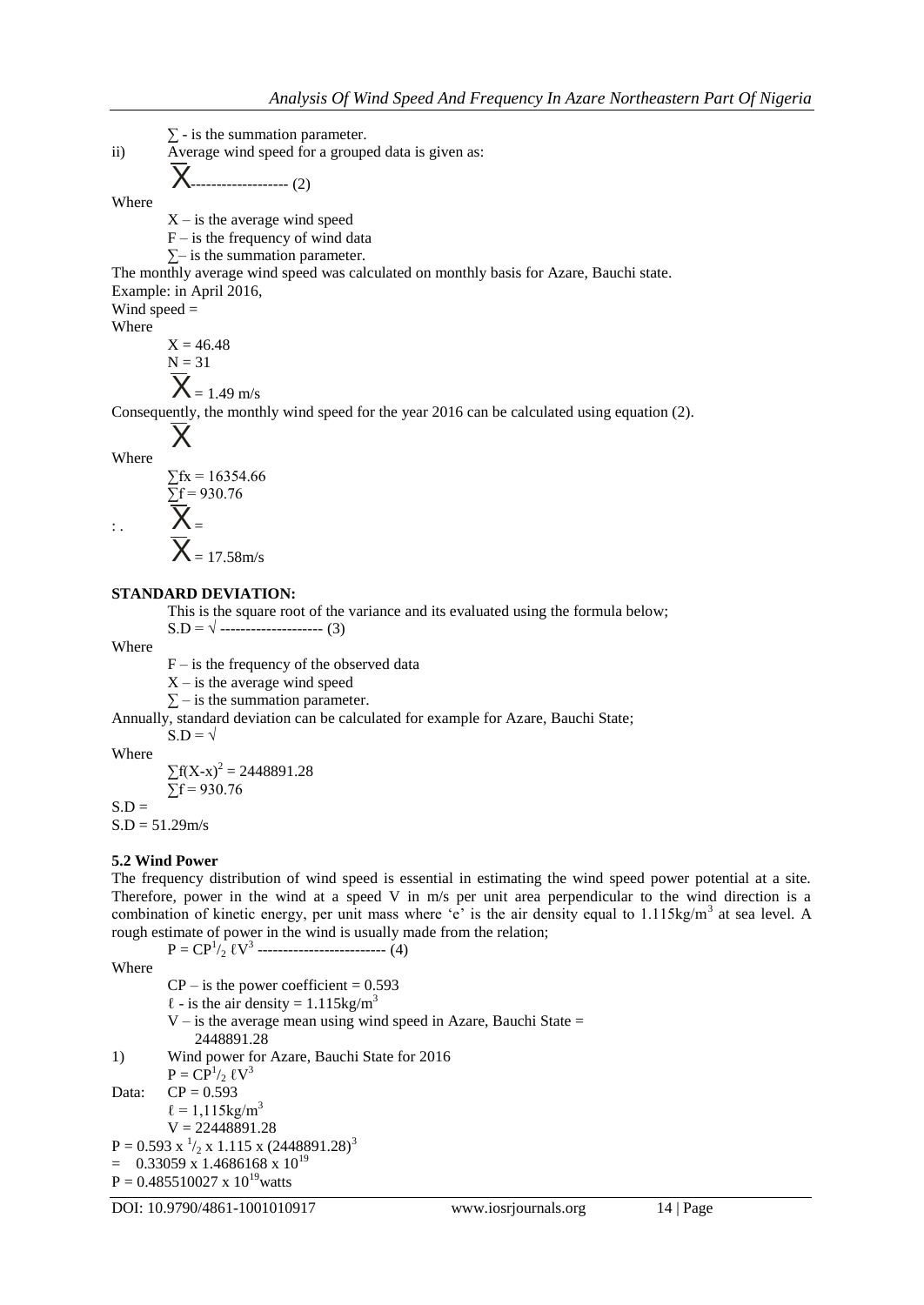$\Sigma$  - is the summation parameter. ii) Average wind speed for a grouped data is given as: ------------------- (2) Where  $X$  – is the average wind speed  $F -$  is the frequency of wind data  $\Sigma$ – is the summation parameter. The monthly average wind speed was calculated on monthly basis for Azare, Bauchi state. Example: in April 2016, Wind speed = Where  $X = 46.48$  $N = 31$  $= 1.49$  m/s Where  $\Sigma$ fx = 16354.66  $\Sigma$ f = 930.76  $\vdots$  $\overline{\mathsf{X}}$  $\overline{\mathsf{X}}$  $\overline{\mathsf{X}}$ 

Consequently, the monthly wind speed for the year 2016 can be calculated using equation (2).

$$
\sum fx = 16354.66
$$
  

$$
\sum f = 930.76
$$
  

$$
\sum F =
$$

 $\overline{\mathsf{X}}$  = 17.58m/s

### **STANDARD DEVIATION:**

This is the square root of the variance and its evaluated using the formula below;

 $S.D = \sqrt{$  ------------------------ (3)

Where

 $F -$  is the frequency of the observed data

 $X$  – is the average wind speed

 $\sum$  – is the summation parameter.

Annually, standard deviation can be calculated for example for Azare, Bauchi State;  $S.D = \sqrt{ }$ 

Where

 $\sum f(X-x)^2 = 2448891.28$  $\bar{\Sigma}$ f = 930.76

 $S.D =$ 

 $S.D = 51.29m/s$ 

# **5.2 Wind Power**

The frequency distribution of wind speed is essential in estimating the wind speed power potential at a site. Therefore, power in the wind at a speed V in m/s per unit area perpendicular to the wind direction is a combination of kinetic energy, per unit mass where 'e' is the air density equal to 1.115kg/m<sup>3</sup> at sea level. A rough estimate of power in the wind is usually made from the relation;

 $P = CP^{1/2}$   $\ell V^{3}$  ---------------------------- (4)

Where

 $CP -$  is the power coefficient = 0.593  $\ell$  - is the air density = 1.115kg/m<sup>3</sup>  $V -$  is the average mean using wind speed in Azare, Bauchi State = 2448891.28 1) Wind power for Azare, Bauchi State for 2016  $P = CP^{1/2}$   $\ell V^{3}$ Data:  $CP = 0.593$  $\ell = 1,115$ kg/m<sup>3</sup>  $V = 22448891.28$  $P = 0.593 \text{ x}^{1/2} \text{ x } 1.115 \text{ x } (2448891.28)^{3}$  $=$  0.33059 x 1.4686168 x 10<sup>19</sup>  $P = 0.485510027 \times 10^{19}$ watts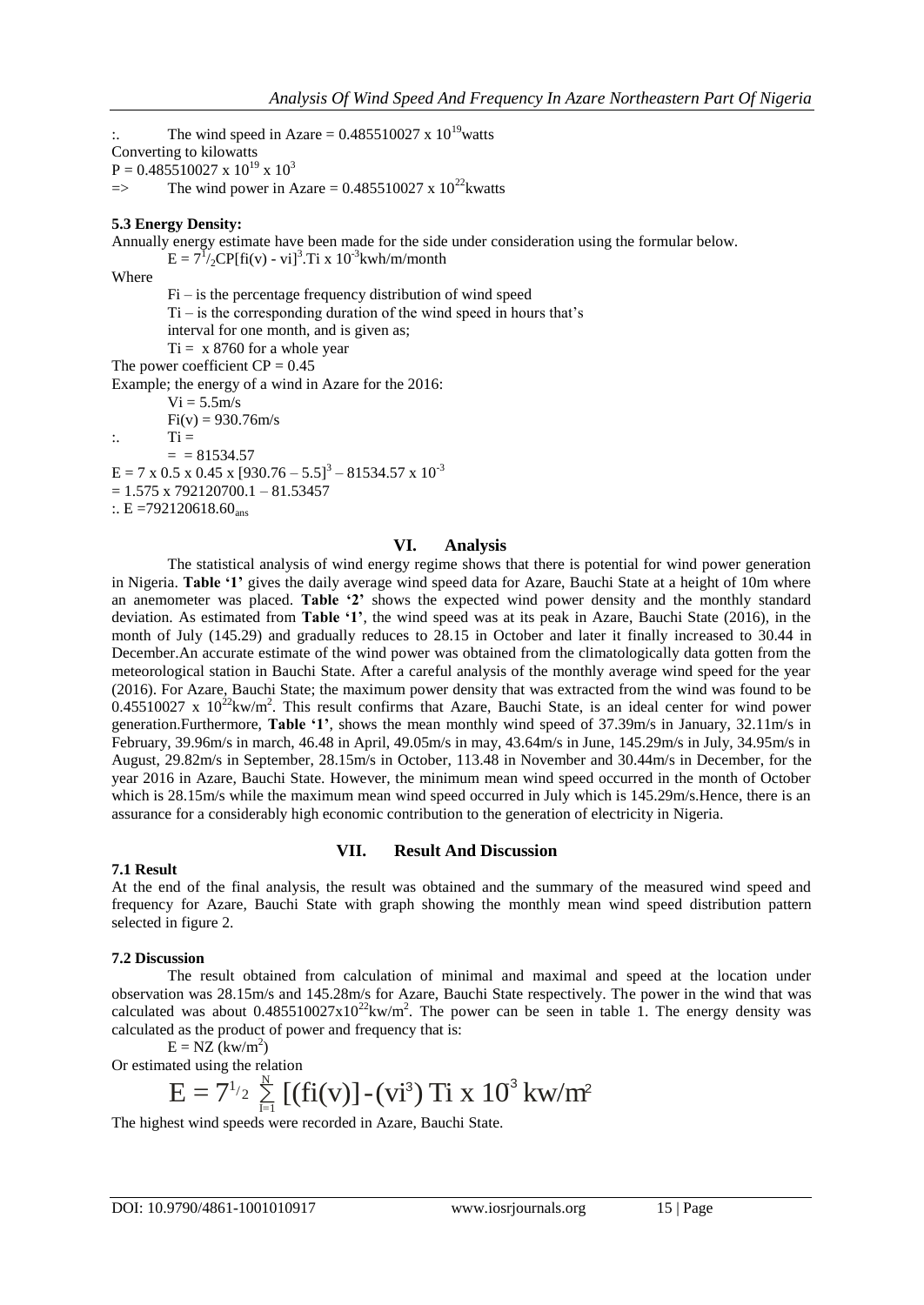The wind speed in Azare =  $0.485510027 \times 10^{19}$  watts Converting to kilowatts  $P = 0.485510027 \times 10^{19} \times 10^3$  $\Rightarrow$  The wind power in Azare = 0.485510027 x 10<sup>22</sup>kwatts

# **5.3 Energy Density:**

Annually energy estimate have been made for the side under consideration using the formular below.

 $E = 7^{1/2}CP[$ fi(v) - vi]<sup>3</sup>.Ti x 10<sup>-3</sup>kwh/m/month

Where

Fi – is the percentage frequency distribution of wind speed

 $Ti - is$  the corresponding duration of the wind speed in hours that's

interval for one month, and is given as;

 $Ti = x 8760$  for a whole year

The power coefficient  $CP = 0.45$ 

Example; the energy of a wind in Azare for the 2016:

 $Vi = 5.5m/s$  $Fi(v) = 930.76m/s$  $\therefore$  Ti =  $=$  = 81534.57  $E = 7 \times 0.5 \times 0.45 \times [930.76 - 5.5]^3 - 81534.57 \times 10^{-3}$  $= 1.575 \times 792120700.1 - 81.53457$ 

 $\therefore$  E =792120618.60<sub>ans</sub>

### **VI. Analysis**

The statistical analysis of wind energy regime shows that there is potential for wind power generation in Nigeria. **Table '1'** gives the daily average wind speed data for Azare, Bauchi State at a height of 10m where an anemometer was placed. **Table '2'** shows the expected wind power density and the monthly standard deviation. As estimated from **Table '1'**, the wind speed was at its peak in Azare, Bauchi State (2016), in the month of July (145.29) and gradually reduces to 28.15 in October and later it finally increased to 30.44 in December.An accurate estimate of the wind power was obtained from the climatologically data gotten from the meteorological station in Bauchi State. After a careful analysis of the monthly average wind speed for the year (2016). For Azare, Bauchi State; the maximum power density that was extracted from the wind was found to be  $0.45510027$  x  $10^{22}$ kw/m<sup>2</sup>. This result confirms that Azare, Bauchi State, is an ideal center for wind power generation.Furthermore, **Table '1'**, shows the mean monthly wind speed of 37.39m/s in January, 32.11m/s in February, 39.96m/s in march, 46.48 in April, 49.05m/s in may, 43.64m/s in June, 145.29m/s in July, 34.95m/s in August, 29.82m/s in September, 28.15m/s in October, 113.48 in November and 30.44m/s in December, for the year 2016 in Azare, Bauchi State. However, the minimum mean wind speed occurred in the month of October which is 28.15m/s while the maximum mean wind speed occurred in July which is 145.29m/s. Hence, there is an assurance for a considerably high economic contribution to the generation of electricity in Nigeria.

#### **VII. Result And Discussion**

At the end of the final analysis, the result was obtained and the summary of the measured wind speed and frequency for Azare, Bauchi State with graph showing the monthly mean wind speed distribution pattern selected in figure 2.

#### **7.2 Discussion**

**7.1 Result**

The result obtained from calculation of minimal and maximal and speed at the location under observation was 28.15m/s and 145.28m/s for Azare, Bauchi State respectively. The power in the wind that was calculated was about  $0.485510027 \times 10^{22}$ kw/m<sup>2</sup>. The power can be seen in table 1. The energy density was calculated as the product of power and frequency that is:

 $E = NZ$  (kw/m<sup>2</sup>)

Or estimated using the relation

E = NZ (kw/m<sup>2</sup>)  
ated using the relation  

$$
E = 7^{1/2} \sum_{i=1}^{N} [(fi(v)] - (vi^3) Ti \times 10^3 \text{ kW/m}^2
$$

The highest wind speeds were recorded in Azare, Bauchi State.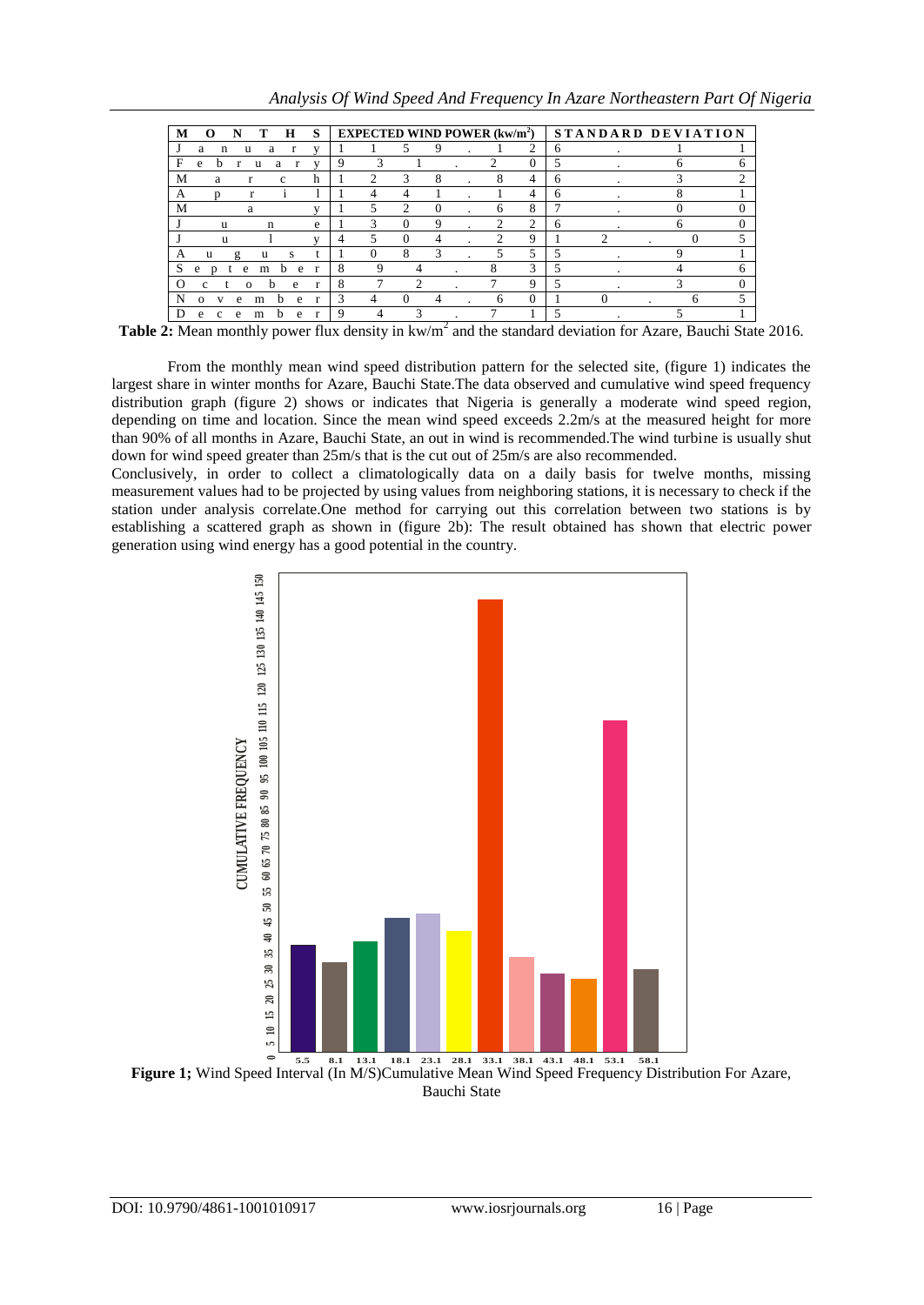| M                                  | N<br>$\mathbf{\Omega}$ | т        | н       | S | EXPECTED WIND POWER $(kw/m^2)$ STANDARD DEVIATION |               |                             |          |  |   |               |   |  |   |   |
|------------------------------------|------------------------|----------|---------|---|---------------------------------------------------|---------------|-----------------------------|----------|--|---|---------------|---|--|---|---|
|                                    | a<br>n                 | u<br>a   | r       | v |                                                   |               |                             | 9        |  |   | 2             | 6 |  |   |   |
| F                                  | e<br>h                 | u        | a       |   | 9                                                 |               |                             |          |  |   | $\Omega$      |   |  |   |   |
| М                                  | a                      |          | с       | h |                                                   | $\mathcal{L}$ | $\mathcal{R}$               | 8        |  | 8 | 4             | n |  |   |   |
| A                                  |                        |          |         |   |                                                   | 4             |                             |          |  |   | 4             | n |  |   |   |
| M                                  |                        | a        |         |   |                                                   | 5             | $\mathcal{D}_{\mathcal{L}}$ | $\Omega$ |  | 6 | 8             |   |  |   |   |
|                                    | u                      | n        |         | e |                                                   | 3             | $\Omega$                    | 9        |  | 2 | 2             | 6 |  | 6 |   |
|                                    | u                      |          |         |   | 4                                                 |               | $\Omega$                    |          |  | ◠ | $\Omega$      |   |  |   |   |
| A                                  | u<br>g                 | u        | s       | t |                                                   | $\Omega$      | 8                           | 3        |  | 5 | 5             |   |  |   |   |
| S                                  | e<br>n<br>e            | m        | b.<br>e | r | 8                                                 | 9             | 4                           |          |  |   | $\mathcal{R}$ |   |  |   | h |
| $\scriptstyle\rm\scriptstyle{(1)}$ |                        | $\Omega$ | e       | r | 8                                                 |               | っ                           |          |  |   | Q             | 5 |  |   |   |
| N                                  | e<br>$\Omega$          | m        | e<br>h. | r | 3                                                 | 4             | $\Omega$                    | 4        |  | 6 | $\Omega$      |   |  | 6 |   |
|                                    | e                      | m        | e<br>h  |   | g                                                 |               | 3                           |          |  |   |               |   |  |   |   |

Table 2: Mean monthly power flux density in kw/m<sup>2</sup> and the standard deviation for Azare, Bauchi State 2016.

From the monthly mean wind speed distribution pattern for the selected site, (figure 1) indicates the largest share in winter months for Azare, Bauchi State.The data observed and cumulative wind speed frequency distribution graph (figure 2) shows or indicates that Nigeria is generally a moderate wind speed region, depending on time and location. Since the mean wind speed exceeds 2.2m/s at the measured height for more than 90% of all months in Azare, Bauchi State, an out in wind is recommended.The wind turbine is usually shut down for wind speed greater than 25m/s that is the cut out of 25m/s are also recommended.

Conclusively, in order to collect a climatologically data on a daily basis for twelve months, missing measurement values had to be projected by using values from neighboring stations, it is necessary to check if the station under analysis correlate.One method for carrying out this correlation between two stations is by establishing a scattered graph as shown in (figure 2b): The result obtained has shown that electric power generation using wind energy has a good potential in the country.



**Figure 1;** Wind Speed Interval (In M/S)Cumulative Mean Wind Speed Frequency Distribution For Azare, Bauchi State